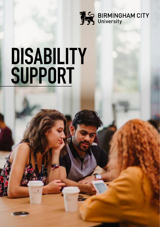

# **DISABILITY SUPPORT**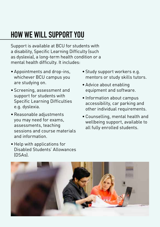# **HOW WE WILL SUPPORT YOU**

Support is available at BCU for students with a disability, Specific Learning Difficulty (such as dyslexia), a long-term health condition or a mental health difficulty. It includes:

- Appointments and drop-ins, whichever BCU campus you are studying on.
- Screening, assessment and support for students with Specific Learning Difficulties e.g. dyslexia.
- Reasonable adjustments you may need for exams, assessments, teaching sessions and course materials and information.
- Help with applications for Disabled Students' Allowances (DSAs).
- Study support workers e.g. mentors or study skills tutors.
- Advice about enabling equipment and software.
- Information about campus accessibility, car parking and other individual requirements.
- Counselling, mental health and wellbeing support, available to all fully enrolled students.

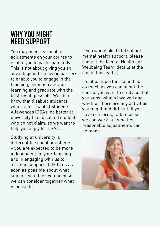#### **WHY YOU MIGHT NEED SUPPORT**

You may need reasonable adjustments on your course to enable you to participate fully. This is not about giving you an advantage but removing barriers to enable you to engage in the teaching, demonstrate your learning and graduate with the best result possible. We also know that disabled students who claim Disabled Students' Allowances (DSAs) do better at university than disabled students who do not claim, so we want to help you apply for DSAs.

Studying at university is different to school or college – you are expected to be more independent, in your learning and in engaging with us to arrange support. Talk to us as soon as possible about what support you think you need so we can consider together what is possible.

If you would like to talk about mental health support, please contact the Mental Health and Wellbeing Team (details at the end of this leaflet).

It's also important to find out as much as you can about the course you want to study so that you know what's involved and whether there are any activities you might find difficult. If you have concerns, talk to us so we can work out whether reasonable adjustments can be made.

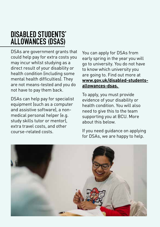#### **DISABLED STUDENTS' ALLOWANCES (DSAS)**

DSAs are government grants that could help pay for extra costs you may incur whilst studying as a direct result of your disability or health condition (including some mental health difficulties). They are not means-tested and you do not have to pay them back.

DSAs can help pay for specialist equipment (such as a computer and assistive software), a nonmedical personal helper (e.g. study skills tutor or mentor), extra travel costs, and other course-related costs.

You can apply for DSAs from early spring in the year you will go to university. You do not have to know which university you are going to. Find out more at **[www.gov.uk/disabled-students](http://www.gov.uk/disabled-students-allowances-dsas. )[allowances-dsas.](http://www.gov.uk/disabled-students-allowances-dsas. )**

To apply, you must provide evidence of your disability or health condition. You will also need to give this to the team supporting you at BCU. More about this below.

If you need guidance on applying for DSAs, we are happy to help.

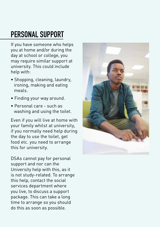# **PERSONAL SUPPORT**

If you have someone who helps you at home and/or during the day at school or college, you may require similar support at university. This could include help with:

- Shopping, cleaning, laundry, ironing, making and eating meals.
- Finding your way around.
- Personal care such as washing and using the toilet.

Even if you will live at home with your family whilst at university, if you normally need help during the day to use the toilet, get food etc. you need to arrange this for university.

DSAs cannot pay for personal support and nor can the University help with this, as it is not study-related. To arrange this help, contact the social services department where you live, to discuss a support package. This can take a long time to arrange so you should do this as soon as possible.

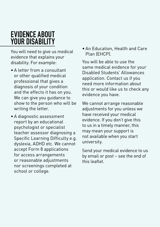#### **EVIDENCE ABOUT YOUR DISABILITY**

You will need to give us medical evidence that explains your disability. For example:

- A letter from a consultant or other qualified medical professional that gives a diagnosis of your condition and the effects it has on you. We can give you guidance to show to the person who will be writing the letter.
- A diagnostic assessment report by an educational psychologist or specialist teacher assessor diagnosing a Specific Learning Difficulty e.g. dyslexia, ADHD etc. We cannot accept Form 8 applications for access arrangements or reasonable adjustments nor screenings completed at school or college.

• An Education, Health and Care Plan (EHCP).

You will be able to use the same medical evidence for your Disabled Students' Allowances application. Contact us if you need more information about this or would like us to check any evidence you have.

We cannot arrange reasonable adjustments for you unless we have received your medical evidence. If you don't give this to us in a timely manner, this may mean your support is not available when you start university.

Send your medical evidence to us by email or post – see the end of this leaflet.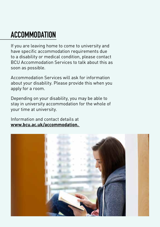# **ACCOMMODATION**

If you are leaving home to come to university and have specific accommodation requirements due to a disability or medical condition, please contact BCU Accommodation Services to talk about this as soon as possible.

Accommodation Services will ask for information about your disability. Please provide this when you apply for a room.

Depending on your disability, you may be able to stay in university accommodation for the whole of your time at university.

Information and contact details at **[www.bcu.ac.uk/accommodation.](http://www.bcu.ac.uk/accommodation. )** 

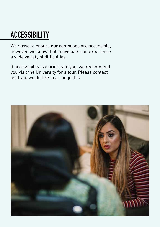# **ACCESSIBILITY**

We strive to ensure our campuses are accessible, however, we know that individuals can experience a wide variety of difficulties.

If accessibility is a priority to you, we recommend you visit the University for a tour. Please contact us if you would like to arrange this.

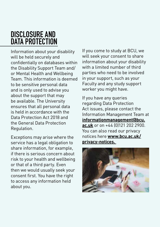#### **DISCLOSURE AND DATA PROTECTION**

Information about your disability will be held securely and confidentially on databases within the Disability Support Team and/ or Mental Health and Wellbeing Team. This information is deemed to be sensitive personal data and is only used to advise you about the support that may be available. The University ensures that all personal data is held in accordance with the Data Protection Act 2018 and the General Data Protection Regulation.

Exceptions may arise where the service has a legal obligation to share information, for example, if there is serious concern about risk to your health and wellbeing or that of a third party. Even then we would usually seek your consent first. You have the right to access any information held about you.

If you come to study at BCU, we will seek your consent to share information about your disability with a limited number of third parties who need to be involved in your support, such as your Faculty and any study support worker you might have.

If you have any queries regarding Data Protection Act issues, please contact the Information Management Team at **[informationmanagement@bcu.](mailto:informationmanagement@bcu.ac.uk) [ac.uk](mailto:informationmanagement@bcu.ac.uk)** or on +44 (0)121 202 2900. You can also read our privacy notices here **[www.bcu.ac.uk/](http://www.bcu.ac.uk/privacy-notices. ) [privacy-notices.](http://www.bcu.ac.uk/privacy-notices. )** 

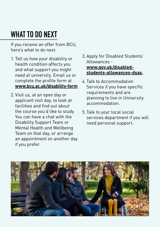# **WHAT TO DO NEXT**

If you receive an offer from BCU, here's what to do next:

- 1. Tell us how your disability or health condition affects you and what support you might need at university. Email us or complete the profile form at **[www.bcu.ac.uk/disability-form](http://www.bcu.ac.uk/disability-form  )**
- 2. Visit us, at an open day or applicant visit day, to look at facilities and find out about the course you'd like to study. You can have a chat with the Disability Support Team or Mental Health and Wellbeing Team on that day, or arrange an appointment on another day if you prefer.
- 3. Apply for Disabled Students' Allowances **[www.gov.uk/disabled](http://www.gov.uk/disabled-students-allowances-dsas)[students-allowances-dsas.](http://www.gov.uk/disabled-students-allowances-dsas)**
- 4. Talk to Accommodation Services if you have specific requirements and are planning to live in University accommodation.
- 5. Talk to your local social services department if you will need personal support.